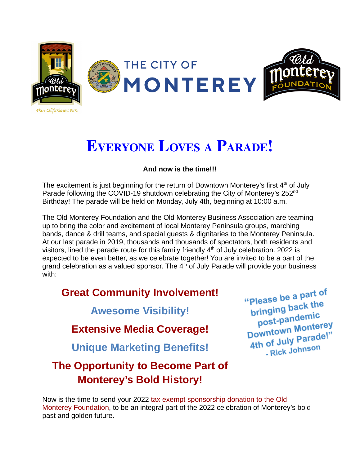

# **EVERYONE LOVES <sup>A</sup> PARADE!**

#### **And now is the time!!!**

The excitement is just beginning for the return of Downtown Monterey's first  $4<sup>th</sup>$  of July Parade following the COVID-19 shutdown celebrating the City of Monterey's 252<sup>nd</sup> Birthday! The parade will be held on Monday, July 4th, beginning at 10:00 a.m.

The Old Monterey Foundation and the Old Monterey Business Association are teaming up to bring the color and excitement of local Monterey Peninsula groups, marching bands, dance & drill teams, and special guests & dignitaries to the Monterey Peninsula. At our last parade in 2019, thousands and thousands of spectators, both residents and visitors, lined the parade route for this family friendly  $4<sup>th</sup>$  of July celebration. 2022 is expected to be even better, as we celebrate together! You are invited to be a part of the grand celebration as a valued sponsor. The  $4<sup>th</sup>$  of July Parade will provide your business with:

# **Great Community Involvement!**

**Awesome Visibility!**

# **Extensive Media Coverage!**

**Unique Marketing Benefits!**

# **The Opportunity to Become Part of Monterey's Bold History!**

"Please be a part of please be a r<br>bringing back the post-pandemic<br>post-pandemic post-pandemic<br>Downtown Monterey Downtown money"<br>4th of July Parade!" - Rick Johnson

Now is the time to send your 2022 tax exempt sponsorship donation to the Old Monterey Foundation, to be an integral part of the 2022 celebration of Monterey's bold past and golden future.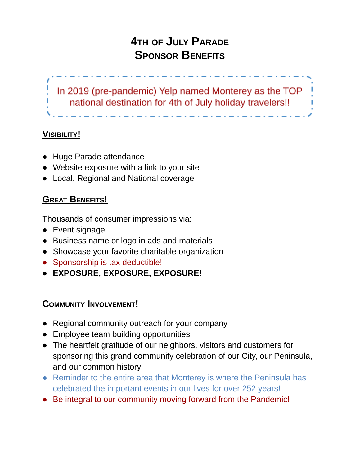# **4TH OF JULY PARADE SPONSOR BENEFITS**

In 2019 (pre-pandemic) Yelp named Monterey as the TOP national destination for 4th of July holiday travelers!!

### **VISIBILITY!**

- Huge Parade attendance
- Website exposure with a link to your site
- Local, Regional and National coverage

#### **GREAT BENEFITS!**

Thousands of consumer impressions via:

- Event signage
- Business name or logo in ads and materials
- Showcase your favorite charitable organization
- Sponsorship is tax deductible!
- **EXPOSURE, EXPOSURE, EXPOSURE!**

#### **COMMUNITY INVOLVEMENT!**

- Regional community outreach for your company
- Employee team building opportunities
- The heartfelt gratitude of our neighbors, visitors and customers for sponsoring this grand community celebration of our City, our Peninsula, and our common history
- Reminder to the entire area that Monterey is where the Peninsula has celebrated the important events in our lives for over 252 years!
- Be integral to our community moving forward from the Pandemic!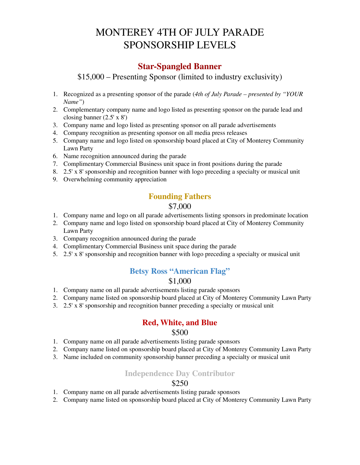# MONTEREY 4TH OF JULY PARADE SPONSORSHIP LEVELS

#### **Star-Spangled Banner**

\$15,000 – Presenting Sponsor (limited to industry exclusivity)

- 1. Recognized as a presenting sponsor of the parade (*4th of July Parade – presented by "YOUR Name"*)
- 2. Complementary company name and logo listed as presenting sponsor on the parade lead and closing banner (2.5' x 8')
- 3. Company name and logo listed as presenting sponsor on all parade advertisements
- 4. Company recognition as presenting sponsor on all media press releases
- 5. Company name and logo listed on sponsorship board placed at City of Monterey Community Lawn Party
- 6. Name recognition announced during the parade
- 7. Complimentary Commercial Business unit space in front positions during the parade
- 8. 2.5' x 8' sponsorship and recognition banner with logo preceding a specialty or musical unit
- 9. Overwhelming community appreciation

#### **Founding Fathers**

#### \$7,000

- 1. Company name and logo on all parade advertisements listing sponsors in predominate location
- 2. Company name and logo listed on sponsorship board placed at City of Monterey Community Lawn Party
- 3. Company recognition announced during the parade
- 4. Complimentary Commercial Business unit space during the parade
- 5. 2.5' x 8' sponsorship and recognition banner with logo preceding a specialty or musical unit

#### **Betsy Ross "American Flag"**

#### \$1,000

- 1. Company name on all parade advertisements listing parade sponsors
- 2. Company name listed on sponsorship board placed at City of Monterey Community Lawn Party
- 3. 2.5' x 8' sponsorship and recognition banner preceding a specialty or musical unit

#### **Red, White, and Blue**

#### \$500

- 1. Company name on all parade advertisements listing parade sponsors
- 2. Company name listed on sponsorship board placed at City of Monterey Community Lawn Party
- 3. Name included on community sponsorship banner preceding a specialty or musical unit

#### **Independence Day Contributor**

#### \$250

- 1. Company name on all parade advertisements listing parade sponsors
- 2. Company name listed on sponsorship board placed at City of Monterey Community Lawn Party